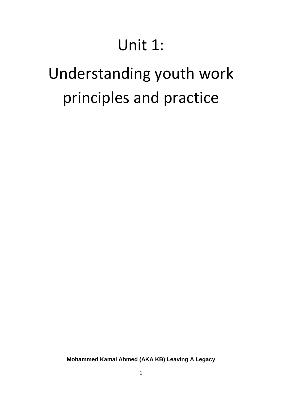# Unit 1:

# Understanding youth work principles and practice

**Mohammed Kamal Ahmed (AKA KB) Leaving A Legacy**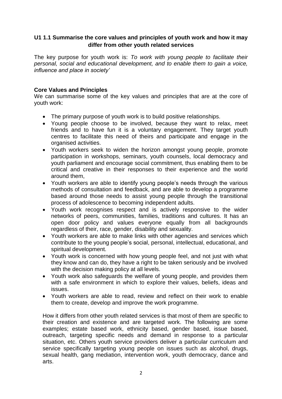# **U1 1.1 Summarise the core values and principles of youth work and how it may differ from other youth related services**

The key purpose for youth work is: *To work with young people to facilitate their personal, social and educational development, and to enable them to gain a voice, influence and place in society'*

#### **Core Values and Principles**

We can summarise some of the key values and principles that are at the core of youth work:

- The primary purpose of youth work is to build positive relationships.
- Young people choose to be involved, because they want to relax, meet friends and to have fun it is a voluntary engagement. They target youth centres to facilitate this need of theirs and participate and engage in the organised activities.
- Youth workers seek to widen the horizon amongst young people, promote participation in workshops, seminars, youth counsels, local democracy and youth parliament and encourage social commitment, thus enabling them to be critical and creative in their responses to their experience and the world around them,
- Youth workers are able to identify young people's needs through the various methods of consultation and feedback, and are able to develop a programme based around those needs to assist young people through the transitional process of adolescence to becoming independent adults.
- Youth work recognises respect and is actively responsive to the wider networks of peers, communities, families, traditions and cultures. It has an open door policy and values everyone equally from all backgrounds regardless of their, race, gender, disability and sexuality.
- Youth workers are able to make links with other agencies and services which contribute to the young people's social, personal, intellectual, educational, and spiritual development.
- Youth work is concerned with how young people feel, and not just with what they know and can do, they have a right to be taken seriously and be involved with the decision making policy at all levels.
- Youth work also safeguards the welfare of young people, and provides them with a safe environment in which to explore their values, beliefs, ideas and issues.
- Youth workers are able to read, review and reflect on their work to enable them to create, develop and improve the work programme.

How it differs from other youth related services is that most of them are specific to their creation and existence and are targeted work. The following are some examples; estate based work, ethnicity based, gender based, issue based, outreach, targeting specific needs and demand in response to a particular situation, etc. Others youth service providers deliver a particular curriculum and service specifically targeting young people on issues such as alcohol, drugs, sexual health, gang mediation, intervention work, youth democracy, dance and arts.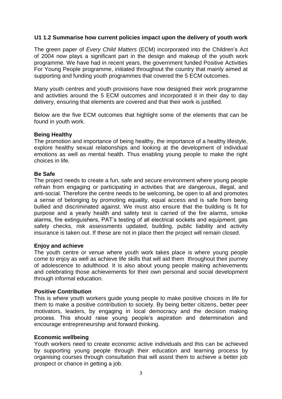#### **U1 1.2 Summarise how current policies impact upon the delivery of youth work**

The green paper of *Every Child Matters* (ECM) incorporated into the Children's Act of 2004 now plays a significant part in the design and makeup of the youth work programme. We have had in recent years, the government funded Positive Activities For Young People programme, initiated throughout the country that mainly aimed at supporting and funding youth programmes that covered the 5 ECM outcomes.

Many youth centres and youth provisions have now designed their work programme and activities around the 5 ECM outcomes and incorporated it in their day to day delivery, ensuring that elements are covered and that their work is justified.

Below are the five ECM outcomes that highlight some of the elements that can be found in youth work.

#### **Being Healthy**

The promotion and importance of being healthy, the importance of a healthy lifestyle, explore healthy sexual relationships and looking at the development of individual emotions as well as mental health. Thus enabling young people to make the right choices in life.

#### **Be Safe**

The project needs to create a fun, safe and secure environment where young people refrain from engaging or participating in activities that are dangerous, illegal, and anti-social. Therefore the centre needs to be welcoming, be open to all and promotes a sense of belonging by promoting equality, equal access and is safe from being bullied and discriminated against. We must also ensure that the building is fit for purpose and a yearly health and safety test is carried of the fire alarms, smoke alarms, fire extinguishers, PAT's testing of all electrical sockets and equipment, gas safety checks, risk assessments updated, building, public liability and activity insurance is taken out. If these are not in place then the project will remain closed.

#### **Enjoy and achieve**

The youth centre or venue where youth work takes place is where young people come to enjoy as well as achieve life skills that will aid them throughout their journey of adolescence to adulthood. It is also about young people making achievements and celebrating those achievements for their own personal and social development through informal education.

#### **Positive Contribution**

This is where youth workers guide young people to make positive choices in life for them to make a positive contribution to society. By being better citizens, better peer motivators, leaders, by engaging in local democracy and the decision making process. This should raise young people's aspiration and determination and encourage entrepreneurship and forward thinking.

#### **Economic wellbeing**

Youth workers need to create economic active individuals and this can be achieved by supporting young people through their education and learning process by organising courses through consultation that will assist them to achieve a better job prospect or chance in getting a job.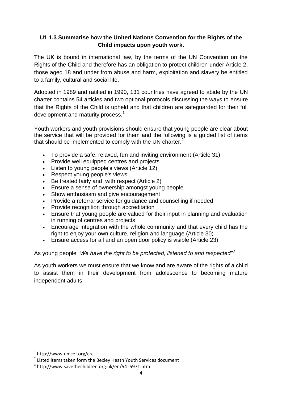# **U1 1.3 Summarise how the United Nations Convention for the Rights of the Child impacts upon youth work.**

The UK is bound in international law, by the terms of the UN Convention on the Rights of the Child and therefore has an obligation to protect children under Article 2, those aged 18 and under from abuse and harm, exploitation and slavery be entitled to a family, cultural and social life.

Adopted in 1989 and ratified in 1990, 131 countries have agreed to abide by the UN charter contains 54 articles and two optional protocols discussing the ways to ensure that the Rights of the Child is upheld and that children are safeguarded for their full development and maturity process.<sup>1</sup>

Youth workers and youth provisions should ensure that young people are clear about the service that will be provided for them and the following is a guided list of items that should be implemented to comply with the UN charter. $<sup>2</sup>$ </sup>

- To provide a safe, relaxed, fun and inviting environment (Article 31)
- Provide well equipped centres and projects
- Listen to young people's views (Article 12)
- Respect young people's views
- Be treated fairly and with respect (Article 2)
- Ensure a sense of ownership amongst young people
- Show enthusiasm and give encouragement
- Provide a referral service for guidance and counselling if needed
- Provide recognition through accreditation
- Ensure that young people are valued for their input in planning and evaluation in running of centres and projects
- Encourage integration with the whole community and that every child has the right to enjoy your own culture, religion and language (Article 30)
- Ensure access for all and an open door policy is visible (Article 23)

As young people *"We have the right to be protected, listened to and respected"<sup>3</sup>*

As youth workers we must ensure that we know and are aware of the rights of a child to assist them in their development from adolescence to becoming mature independent adults.

**.** 

<sup>1</sup> http://www.unicef.org/crc

<sup>&</sup>lt;sup>2</sup> Listed items taken form the Bexley Heath Youth Services document

<sup>3</sup> http://www.savethechildren.org.uk/en/54\_5971.htm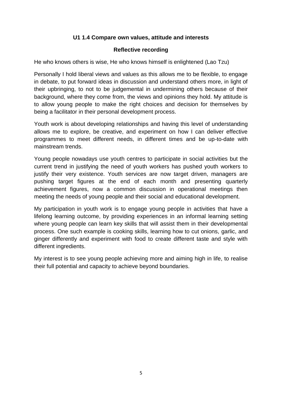# **U1 1.4 Compare own values, attitude and interests**

#### **Reflective recording**

He who knows others is wise, He who knows himself is enlightened (Lao Tzu)

Personally I hold liberal views and values as this allows me to be flexible, to engage in debate, to put forward ideas in discussion and understand others more, in light of their upbringing, to not to be judgemental in undermining others because of their background, where they come from, the views and opinions they hold. My attitude is to allow young people to make the right choices and decision for themselves by being a facilitator in their personal development process.

Youth work is about developing relationships and having this level of understanding allows me to explore, be creative, and experiment on how I can deliver effective programmes to meet different needs, in different times and be up-to-date with mainstream trends.

Young people nowadays use youth centres to participate in social activities but the current trend in justifying the need of youth workers has pushed youth workers to justify their very existence. Youth services are now target driven, managers are pushing target figures at the end of each month and presenting quarterly achievement figures, now a common discussion in operational meetings then meeting the needs of young people and their social and educational development.

My participation in youth work is to engage young people in activities that have a lifelong learning outcome, by providing experiences in an informal learning setting where young people can learn key skills that will assist them in their developmental process. One such example is cooking skills, learning how to cut onions, garlic, and ginger differently and experiment with food to create different taste and style with different ingredients.

My interest is to see young people achieving more and aiming high in life, to realise their full potential and capacity to achieve beyond boundaries.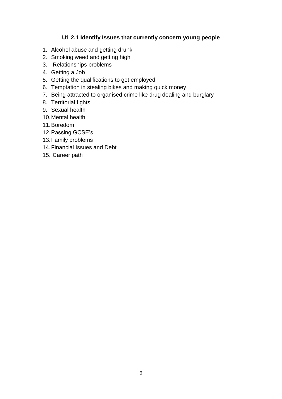# **U1 2.1 Identify Issues that currently concern young people**

- 1. Alcohol abuse and getting drunk
- 2. Smoking weed and getting high
- 3. Relationships problems
- 4. Getting a Job
- 5. Getting the qualifications to get employed
- 6. Temptation in stealing bikes and making quick money
- 7. Being attracted to organised crime like drug dealing and burglary
- 8. Territorial fights
- 9. Sexual health
- 10.Mental health
- 11.Boredom
- 12.Passing GCSE's
- 13.Family problems
- 14.Financial Issues and Debt
- 15. Career path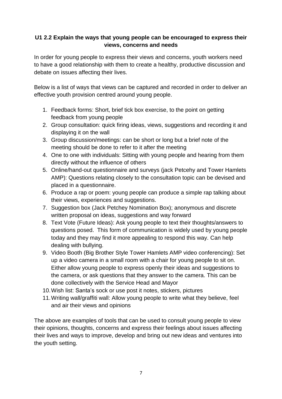# **U1 2.2 Explain the ways that young people can be encouraged to express their views, concerns and needs**

In order for young people to express their views and concerns, youth workers need to have a good relationship with them to create a healthy, productive discussion and debate on issues affecting their lives.

Below is a list of ways that views can be captured and recorded in order to deliver an effective youth provision centred around young people.

- 1. Feedback forms: Short, brief tick box exercise, to the point on getting feedback from young people
- 2. Group consultation: quick firing ideas, views, suggestions and recording it and displaying it on the wall
- 3. Group discussion/meetings: can be short or long but a brief note of the meeting should be done to refer to it after the meeting
- 4. One to one with individuals: Sitting with young people and hearing from them directly without the influence of others
- 5. Online/hand-out questionnaire and surveys (jack Petcehy and Tower Hamlets AMP): Questions relating closely to the consultation topic can be devised and placed in a questionnaire.
- 6. Produce a rap or poem: young people can produce a simple rap talking about their views, experiences and suggestions.
- 7. Suggestion box (Jack Petchey Nomination Box); anonymous and discrete written proposal on ideas, suggestions and way forward
- 8. Text Vote (Future Ideas): Ask young people to text their thoughts/answers to questions posed. This form of communication is widely used by young people today and they may find it more appealing to respond this way. Can help dealing with bullying.
- 9. Video Booth (Big Brother Style Tower Hamlets AMP video conferencing): Set up a video camera in a small room with a chair for young people to sit on. Either allow young people to express openly their ideas and suggestions to the camera, or ask questions that they answer to the camera. This can be done collectively with the Service Head and Mayor
- 10.Wish list: Santa's sock or use post it notes, stickers, pictures
- 11.Writing wall/graffiti wall: Allow young people to write what they believe, feel and air their views and opinions

The above are examples of tools that can be used to consult young people to view their opinions, thoughts, concerns and express their feelings about issues affecting their lives and ways to improve, develop and bring out new ideas and ventures into the youth setting.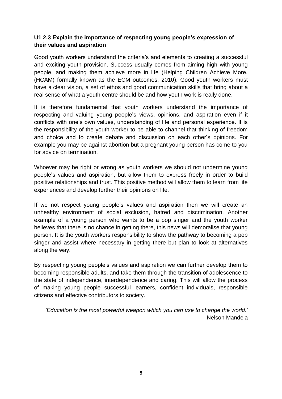# **U1 2.3 Explain the importance of respecting young people's expression of their values and aspiration**

Good youth workers understand the criteria's and elements to creating a successful and exciting youth provision. Success usually comes from aiming high with young people, and making them achieve more in life (Helping Children Achieve More, (HCAM) formally known as the ECM outcomes, 2010). Good youth workers must have a clear vision, a set of ethos and good communication skills that bring about a real sense of what a youth centre should be and how youth work is really done.

It is therefore fundamental that youth workers understand the importance of respecting and valuing young people's views, opinions, and aspiration even if it conflicts with one's own values, understanding of life and personal experience. It is the responsibility of the youth worker to be able to channel that thinking of freedom and choice and to create debate and discussion on each other's opinions. For example you may be against abortion but a pregnant young person has come to you for advice on termination.

Whoever may be right or wrong as youth workers we should not undermine young people's values and aspiration, but allow them to express freely in order to build positive relationships and trust. This positive method will allow them to learn from life experiences and develop further their opinions on life.

If we not respect young people's values and aspiration then we will create an unhealthy environment of social exclusion, hatred and discrimination. Another example of a young person who wants to be a pop singer and the youth worker believes that there is no chance in getting there, this news will demoralise that young person. It is the youth workers responsibility to show the pathway to becoming a pop singer and assist where necessary in getting there but plan to look at alternatives along the way.

By respecting young people's values and aspiration we can further develop them to becoming responsible adults, and take them through the transition of adolescence to the state of independence, interdependence and caring. This will allow the process of making young people successful learners, confident individuals, responsible citizens and effective contributors to society.

*'Education is the most powerful weapon which you can use to change the world.'*  Nelson Mandela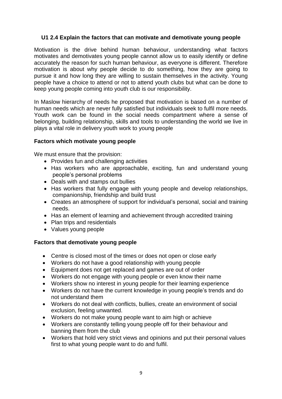# **U1 2.4 Explain the factors that can motivate and demotivate young people**

Motivation is the drive behind human behaviour, understanding what factors motivates and demotivates young people cannot allow us to easily identify or define accurately the reason for such human behaviour, as everyone is different. Therefore motivation is about why people decide to do something, how they are going to pursue it and how long they are willing to sustain themselves in the activity. Young people have a choice to attend or not to attend youth clubs but what can be done to keep young people coming into youth club is our responsibility.

In Maslow hierarchy of needs he proposed that motivation is based on a number of human needs which are never fully satisfied but individuals seek to fulfil more needs. Youth work can be found in the social needs compartment where a sense of belonging, building relationship, skills and tools to understanding the world we live in plays a vital role in delivery youth work to young people

#### **Factors which motivate young people**

We must ensure that the provision:

- Provides fun and challenging activities
- Has workers who are approachable, exciting, fun and understand young people's personal problems
- Deals with and stamps out bullies
- Has workers that fully engage with young people and develop relationships, companionship, friendship and build trust
- Creates an atmosphere of support for individual's personal, social and training needs.
- Has an element of learning and achievement through accredited training
- Plan trips and residentials
- Values young people

# **Factors that demotivate young people**

- Centre is closed most of the times or does not open or close early
- Workers do not have a good relationship with young people
- Equipment does not get replaced and games are out of order
- Workers do not engage with young people or even know their name
- Workers show no interest in young people for their learning experience
- Workers do not have the current knowledge in young people's trends and do not understand them
- Workers do not deal with conflicts, bullies, create an environment of social exclusion, feeling unwanted.
- Workers do not make young people want to aim high or achieve
- Workers are constantly telling young people off for their behaviour and banning them from the club
- Workers that hold very strict views and opinions and put their personal values first to what young people want to do and fulfil.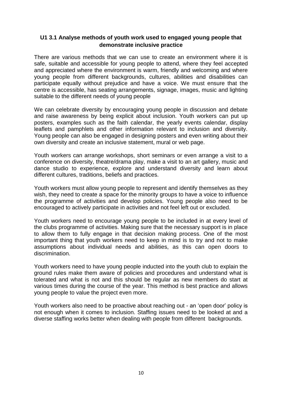# **U1 3.1 Analyse methods of youth work used to engaged young people that demonstrate inclusive practice**

There are various methods that we can use to create an environment where it is safe, suitable and accessible for young people to attend, where they feel accepted and appreciated where the environment is warm, friendly and welcoming and where young people from different backgrounds, cultures, abilities and disabilities can participate equally without prejudice and have a voice. We must ensure that the centre is accessible, has seating arrangements, signage, images, music and lighting suitable to the different needs of young people

We can celebrate diversity by encouraging young people in discussion and debate and raise awareness by being explicit about inclusion. Youth workers can put up posters, examples such as the faith calendar, the yearly events calendar, display leaflets and pamphlets and other information relevant to inclusion and diversity. Young people can also be engaged in designing posters and even writing about their own diversity and create an inclusive statement, mural or web page.

Youth workers can arrange workshops, short seminars or even arrange a visit to a conference on diversity, theatre/drama play, make a visit to an art gallery, music and dance studio to experience, explore and understand diversity and learn about different cultures, traditions, beliefs and practices.

Youth workers must allow young people to represent and identify themselves as they wish, they need to create a space for the minority groups to have a voice to influence the programme of activities and develop policies. Young people also need to be encouraged to actively participate in activities and not feel left out or excluded.

Youth workers need to encourage young people to be included in at every level of the clubs programme of activities. Making sure that the necessary support is in place to allow them to fully engage in that decision making process. One of the most important thing that youth workers need to keep in mind is to try and not to make assumptions about individual needs and abilities, as this can open doors to discrimination.

Youth workers need to have young people inducted into the youth club to explain the ground rules make them aware of policies and procedures and understand what is tolerated and what is not and this should be regular as new members do start at various times during the course of the year. This method is best practice and allows young people to value the project even more.

Youth workers also need to be proactive about reaching out - an 'open door' policy is not enough when it comes to inclusion. Staffing issues need to be looked at and a diverse staffing works better when dealing with people from different backgrounds.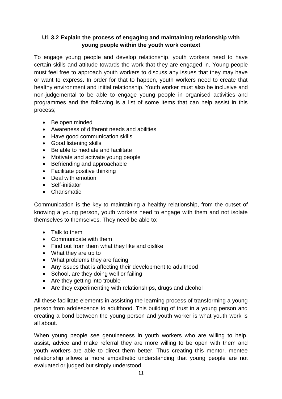# **U1 3.2 Explain the process of engaging and maintaining relationship with young people within the youth work context**

To engage young people and develop relationship, youth workers need to have certain skills and attitude towards the work that they are engaged in. Young people must feel free to approach youth workers to discuss any issues that they may have or want to express. In order for that to happen, youth workers need to create that healthy environment and initial relationship. Youth worker must also be inclusive and non-judgemental to be able to engage young people in organised activities and programmes and the following is a list of some items that can help assist in this process;

- Be open minded
- Awareness of different needs and abilities
- Have good communication skills
- Good listening skills
- Be able to mediate and facilitate
- Motivate and activate young people
- Befriending and approachable
- Facilitate positive thinking
- Deal with emotion
- Self-initiator
- **•** Charismatic

Communication is the key to maintaining a healthy relationship, from the outset of knowing a young person, youth workers need to engage with them and not isolate themselves to themselves. They need be able to;

- Talk to them
- Communicate with them
- Find out from them what they like and dislike
- What they are up to
- What problems they are facing
- Any issues that is affecting their development to adulthood
- School, are they doing well or failing
- Are they getting into trouble
- Are they experimenting with relationships, drugs and alcohol

All these facilitate elements in assisting the learning process of transforming a young person from adolescence to adulthood. This building of trust in a young person and creating a bond between the young person and youth worker is what youth work is all about.

When young people see genuineness in youth workers who are willing to help, assist, advice and make referral they are more willing to be open with them and youth workers are able to direct them better. Thus creating this mentor, mentee relationship allows a more empathetic understanding that young people are not evaluated or judged but simply understood.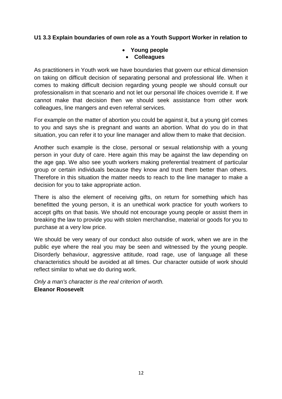# **U1 3.3 Explain boundaries of own role as a Youth Support Worker in relation to**

# **Young people Colleagues**

As practitioners in Youth work we have boundaries that govern our ethical dimension on taking on difficult decision of separating personal and professional life. When it comes to making difficult decision regarding young people we should consult our professionalism in that scenario and not let our personal life choices override it. If we cannot make that decision then we should seek assistance from other work colleagues, line mangers and even referral services.

For example on the matter of abortion you could be against it, but a young girl comes to you and says she is pregnant and wants an abortion. What do you do in that situation, you can refer it to your line manager and allow them to make that decision.

Another such example is the close, personal or sexual relationship with a young person in your duty of care. Here again this may be against the law depending on the age gap. We also see youth workers making preferential treatment of particular group or certain individuals because they know and trust them better than others. Therefore in this situation the matter needs to reach to the line manager to make a decision for you to take appropriate action.

There is also the element of receiving gifts, on return for something which has benefitted the young person, it is an unethical work practice for youth workers to accept gifts on that basis. We should not encourage young people or assist them in breaking the law to provide you with stolen merchandise, material or goods for you to purchase at a very low price.

We should be very weary of our conduct also outside of work, when we are in the public eye where the real you may be seen and witnessed by the young people. Disorderly behaviour, aggressive attitude, road rage, use of language all these characteristics should be avoided at all times. Our character outside of work should reflect similar to what we do during work.

*Only a man's character is the real criterion of worth.* **[Eleanor Roosevelt](http://www.brainyquote.com/quotes/quotes/e/eleanorroo126918.html)**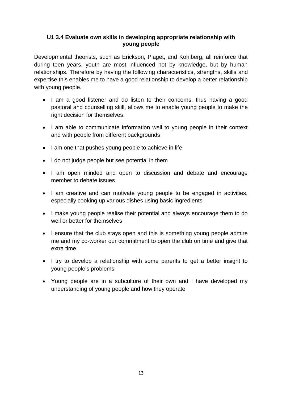# **U1 3.4 Evaluate own skills in developing appropriate relationship with young people**

Developmental theorists, such as Erickson, Piaget, and Kohlberg, all reinforce that during teen years, youth are most influenced not by knowledge, but by human relationships. Therefore by having the following characteristics, strengths, skills and expertise this enables me to have a good relationship to develop a better relationship with young people.

- I am a good listener and do listen to their concerns, thus having a good pastoral and counselling skill, allows me to enable young people to make the right decision for themselves.
- I am able to communicate information well to young people in their context and with people from different backgrounds
- I am one that pushes young people to achieve in life
- I do not judge people but see potential in them
- I am open minded and open to discussion and debate and encourage member to debate issues
- I am creative and can motivate young people to be engaged in activities, especially cooking up various dishes using basic ingredients
- I make young people realise their potential and always encourage them to do well or better for themselves
- I ensure that the club stays open and this is something young people admire me and my co-worker our commitment to open the club on time and give that extra time.
- I try to develop a relationship with some parents to get a better insight to young people's problems
- Young people are in a subculture of their own and I have developed my understanding of young people and how they operate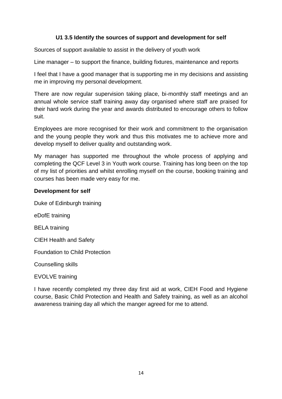# **U1 3.5 Identify the sources of support and development for self**

Sources of support available to assist in the delivery of youth work

Line manager – to support the finance, building fixtures, maintenance and reports

I feel that I have a good manager that is supporting me in my decisions and assisting me in improving my personal development.

There are now regular supervision taking place, bi-monthly staff meetings and an annual whole service staff training away day organised where staff are praised for their hard work during the year and awards distributed to encourage others to follow suit.

Employees are more recognised for their work and commitment to the organisation and the young people they work and thus this motivates me to achieve more and develop myself to deliver quality and outstanding work.

My manager has supported me throughout the whole process of applying and completing the QCF Level 3 in Youth work course. Training has long been on the top of my list of priorities and whilst enrolling myself on the course, booking training and courses has been made very easy for me.

# **Development for self**

Duke of Edinburgh training

eDofE training

BELA training

CIEH Health and Safety

Foundation to Child Protection

Counselling skills

EVOLVE training

I have recently completed my three day first aid at work, CIEH Food and Hygiene course, Basic Child Protection and Health and Safety training, as well as an alcohol awareness training day all which the manger agreed for me to attend.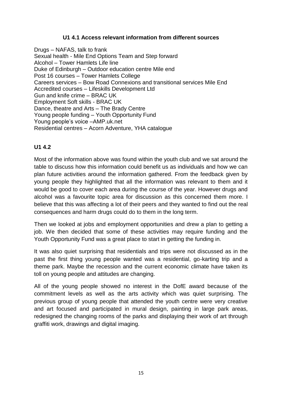#### **U1 4.1 Access relevant information from different sources**

Drugs – NAFAS, talk to frank Sexual health - Mile End Options Team and Step forward Alcohol – Tower Hamlets Life line Duke of Edinburgh – Outdoor education centre Mile end Post 16 courses – Tower Hamlets College Careers services – Bow Road Connexions and transitional services Mile End Accredited courses – Lifeskills Development Ltd Gun and knife crime – BRAC UK Employment Soft skills - BRAC UK Dance, theatre and Arts – The Brady Centre Young people funding – Youth Opportunity Fund Young people's voice –AMP.uk.net Residential centres – Acorn Adventure, YHA catalogue

#### **U1 4.2**

Most of the information above was found within the youth club and we sat around the table to discuss how this information could benefit us as individuals and how we can plan future activities around the information gathered. From the feedback given by young people they highlighted that all the information was relevant to them and it would be good to cover each area during the course of the year. However drugs and alcohol was a favourite topic area for discussion as this concerned them more. I believe that this was affecting a lot of their peers and they wanted to find out the real consequences and harm drugs could do to them in the long term.

Then we looked at jobs and employment opportunities and drew a plan to getting a job. We then decided that some of these activities may require funding and the Youth Opportunity Fund was a great place to start in getting the funding in.

It was also quiet surprising that residentials and trips were not discussed as in the past the first thing young people wanted was a residential, go-karting trip and a theme park. Maybe the recession and the current economic climate have taken its toll on young people and attitudes are changing.

All of the young people showed no interest in the DofE award because of the commitment levels as well as the arts activity which was quiet surprising. The previous group of young people that attended the youth centre were very creative and art focused and participated in mural design, painting in large park areas, redesigned the changing rooms of the parks and displaying their work of art through graffiti work, drawings and digital imaging.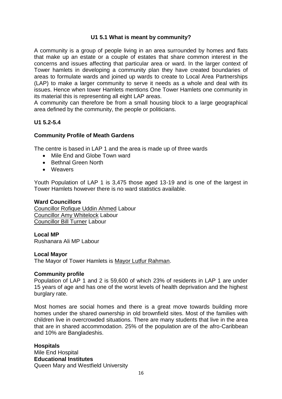#### **U1 5.1 What is meant by community?**

A community is a group of people living in an area surrounded by homes and flats that make up an estate or a couple of estates that share common interest in the concerns and issues affecting that particular area or ward. In the larger context of Tower hamlets in developing a community plan they have created boundaries of areas to formulate wards and joined up wards to create to Local Area Partnerships (LAP) to make a larger community to serve it needs as a whole and deal with its issues. Hence when tower Hamlets mentions One Tower Hamlets one community in its material this is representing all eight LAP areas.

A community can therefore be from a small housing block to a large geographical area defined by the community, the people or politicians.

#### **U1 5.2-5.4**

#### **Community Profile of Meath Gardens**

The centre is based in LAP 1 and the area is made up of three wards

- Mile End and Globe Town ward
- Bethnal Green North
- Weavers

Youth Population of LAP 1 is 3,475 those aged 13-19 and is one of the largest in Tower Hamlets however there is no ward statistics available.

#### **Ward Councillors**

[Councillor Rofique Uddin Ahmed](http://sps2ksrv.towerhamlets.gov.uk/MeetYourCouncillor/MemberDetails.aspx?ID=30) Labour [Councillor Amy Whitelock](http://sps2ksrv.towerhamlets.gov.uk/meetyourcouncillor/MemberDetails.aspx?ID=110) Labour [Councillor Bill Turner](http://sps2ksrv.towerhamlets.gov.uk/MeetYourCouncillor/MemberDetails.aspx?ID=81) Labour

#### **Local MP**

Rushanara Ali MP Labour

#### **Local Mayor**

The Mayor of Tower Hamlets is [Mayor Lutfur Rahman.](http://www.towerhamlets.gov.uk/lgsl/1001-1050/1002_mayor.aspx)

#### **Community profile**

Population of LAP 1 and 2 is 59,600 of which 23% of residents in LAP 1 are under 15 years of age and has one of the worst levels of health deprivation and the highest burglary rate.

Most homes are social homes and there is a great move towards building more homes under the shared ownership in old brownfield sites. Most of the families with children live in overcrowded situations. There are many students that live in the area that are in shared accommodation. 25% of the population are of the afro-Caribbean and 10% are Bangladeshis.

#### **Hospitals**

Mile End Hospital **Educational Institutes** Queen Mary and Westfield University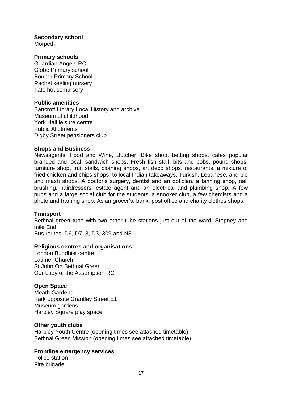# **Secondary school**

Morpeth

#### **Primary schools**

Guardian Angels RC Globe Primary school Bonner Primary School Rachel keeling nursery Tate house nursery

#### **Public amenities**

Bancroft Library Local History and archive Museum of childhood York Hall leisure centre Public Allotments Digby Street pensioners club

#### **Shops and Business**

Newsagents, Food and Wine, Butcher, Bike shop, betting shops, cafés popular branded and local, sandwich shops, Fresh fish stall, bits and bobs, pound shops, furniture shop, fruit stalls, clothing shops, art deco shops, restaurants, a mixture of fried chicken and chips shops, to local Indian takeaways, Turkish, Lebanese, and pie and mash shops. A doctor's surgery, dentist and an optician, a tanning shop, nail brushing, hairdressers, estate agent and an electrical and plumbing shop. A few pubs and a large social club for the students, a snooker club, a few chemists and a photo and framing shop, Asian grocer's, bank, post office and charity clothes shops.

#### **Transport**

Bethnal green tube with two other tube stations just out of the ward, Stepney and mile End

Bus routes, D6, D7, 8, D3, 309 and N8

#### **Religious centres and organisations**

London Buddhist centre Latimer Church St John On Bethnal Green Our Lady of the Assumption RC

#### **Open Space**

Meath Gardens Park opposite Grantley Street E1 Museum gardens Harpley Square play space

#### **Other youth clubs**

Harpley Youth Centre (opening times see attached timetable) Bethnal Green Mission (opening times see attached timetable)

#### **Frontline emergency services**

Police station Fire brigade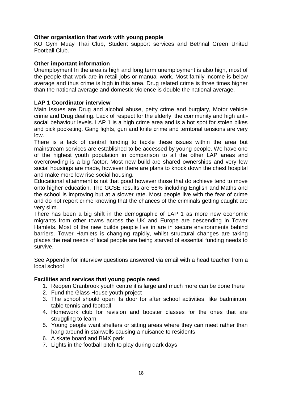#### **Other organisation that work with young people**

KO Gym Muay Thai Club, Student support services and Bethnal Green United Football Club.

#### **Other important information**

Unemployment In the area is high and long term unemployment is also high, most of the people that work are in retail jobs or manual work. Most family income is below average and thus crime is high in this area. Drug related crime is three times higher than the national average and domestic violence is double the national average.

#### **LAP 1 Coordinator interview**

Main Issues are Drug and alcohol abuse, petty crime and burglary, Motor vehicle crime and Drug dealing. Lack of respect for the elderly, the community and high antisocial behaviour levels. LAP 1 is a high crime area and is a hot spot for stolen bikes and pick pocketing. Gang fights, gun and knife crime and territorial tensions are very low.

There is a lack of central funding to tackle these issues within the area but mainstream services are established to be accessed by young people. We have one of the highest youth population in comparison to all the other LAP areas and overcrowding is a big factor. Most new build are shared ownerships and very few social housings are made, however there are plans to knock down the chest hospital and make more low rise social housing.

Educational attainment is not that good however those that do achieve tend to move onto higher education. The GCSE results are 58% including English and Maths and the school is improving but at a slower rate. Most people live with the fear of crime and do not report crime knowing that the chances of the criminals getting caught are very slim.

There has been a big shift in the demographic of LAP 1 as more new economic migrants from other towns across the UK and Europe are descending in Tower Hamlets. Most of the new builds people live in are in secure environments behind barriers. Tower Hamlets is changing rapidly, whilst structural changes are taking places the real needs of local people are being starved of essential funding needs to survive.

See Appendix for interview questions answered via email with a head teacher from a local school

#### **Facilities and services that young people need**

- 1. Reopen Cranbrook youth centre it is large and much more can be done there
- 2. Fund the Glass House youth project
- 3. The school should open its door for after school activities, like badminton, table tennis and football.
- 4. Homework club for revision and booster classes for the ones that are struggling to learn
- 5. Young people want shelters or sitting areas where they can meet rather than hang around in stairwells causing a nuisance to residents
- 6. A skate board and BMX park
- 7. Lights in the football pitch to play during dark days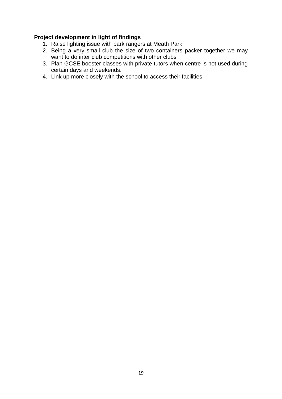# **Project development in light of findings**

- 1. Raise lighting issue with park rangers at Meath Park
- 2. Being a very small club the size of two containers packer together we may want to do inter club competitions with other clubs
- 3. Plan GCSE booster classes with private tutors when centre is not used during certain days and weekends.
- 4. Link up more closely with the school to access their facilities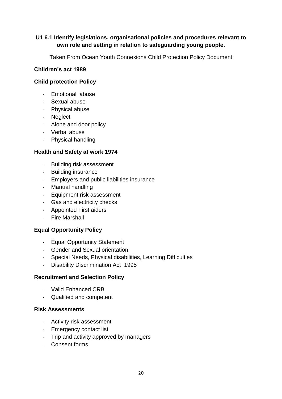# **U1 6.1 Identify legislations, organisational policies and procedures relevant to own role and setting in relation to safeguarding young people.**

Taken From Ocean Youth Connexions Child Protection Policy Document

# **Children's act 1989**

# **Child protection Policy**

- Emotional abuse
- Sexual abuse
- Physical abuse
- Neglect
- Alone and door policy
- Verbal abuse
- Physical handling

# **Health and Safety at work 1974**

- Building risk assessment
- Building insurance
- Employers and public liabilities insurance
- Manual handling
- Equipment risk assessment
- Gas and electricity checks
- Appointed First aiders
- Fire Marshall

# **Equal Opportunity Policy**

- Equal Opportunity Statement
- Gender and Sexual orientation
- Special Needs, Physical disabilities, Learning Difficulties
- Disability Discrimination Act 1995

# **Recruitment and Selection Policy**

- Valid Enhanced CRB
- Qualified and competent

# **Risk Assessments**

- Activity risk assessment
- Emergency contact list
- Trip and activity approved by managers
- Consent forms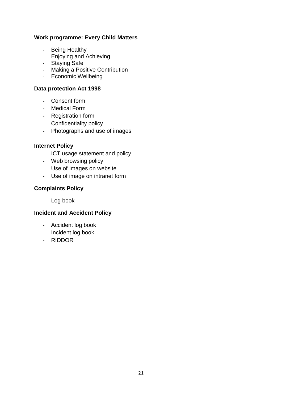# **Work programme: Every Child Matters**

- Being Healthy
- Enjoying and Achieving
- Staying Safe
- Making a Positive Contribution
- Economic Wellbeing

#### **Data protection Act 1998**

- Consent form
- Medical Form
- Registration form
- Confidentiality policy
- Photographs and use of images

#### **Internet Policy**

- ICT usage statement and policy
- Web browsing policy
- Use of Images on website
- Use of image on intranet form

#### **Complaints Policy**

- Log book

# **Incident and Accident Policy**

- Accident log book
- Incident log book
- RIDDOR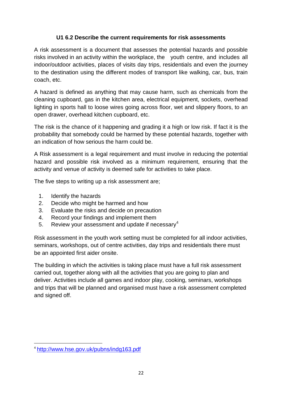# **U1 6.2 Describe the current requirements for risk assessments**

A risk assessment is a document that assesses the potential hazards and possible risks involved in an activity within the workplace, the youth centre, and includes all indoor/outdoor activities, places of visits day trips, residentials and even the journey to the destination using the different modes of transport like walking, car, bus, train coach, etc.

A hazard is defined as anything that may cause harm, such as chemicals from the cleaning cupboard, gas in the kitchen area, electrical equipment, sockets, overhead lighting in sports hall to loose wires going across floor, wet and slippery floors, to an open drawer, overhead kitchen cupboard, etc.

The risk is the chance of it happening and grading it a high or low risk. If fact it is the probability that somebody could be harmed by these potential hazards, together with an indication of how serious the harm could be.

A Risk assessment is a legal requirement and must involve in reducing the potential hazard and possible risk involved as a minimum requirement, ensuring that the activity and venue of activity is deemed safe for activities to take place.

The five steps to writing up a risk assessment are;

- 1. [Identify the hazards](http://www.hse.gov.uk/risk/step1.htm)
- 2. [Decide who might be harmed and how](http://www.hse.gov.uk/risk/step2.htm)
- 3. [Evaluate the risks and decide on precaution](http://www.hse.gov.uk/risk/step3.htm)
- 4. [Record your findings and implement them](http://www.hse.gov.uk/risk/step4.htm)
- 5. [Review your assessment and update if necessary](http://www.hse.gov.uk/risk/step5.htm)<sup>4</sup>

Risk assessment in the youth work setting must be completed for all indoor activities, seminars, workshops, out of centre activities, day trips and residentials there must be an appointed first aider onsite.

The building in which the activities is taking place must have a full risk assessment carried out, together along with all the activities that you are going to plan and deliver. Activities include all games and indoor play, cooking, seminars, workshops and trips that will be planned and organised must have a risk assessment completed and signed off.

1

<sup>4</sup> <http://www.hse.gov.uk/pubns/indg163.pdf>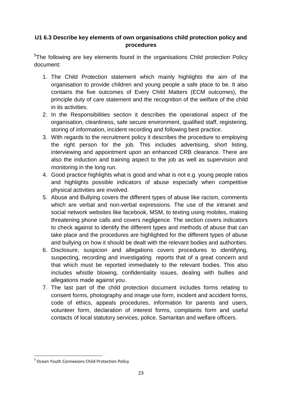# **U1 6.3 Describe key elements of own organisations child protection policy and procedures**

<sup>5</sup>The following are key elements found in the organisations Child protection Policy document:

- 1. The Child Protection statement which mainly highlights the aim of the organisation to provide children and young people a safe place to be. It also contains the five outcomes of Every Child Matters (ECM outcomes), the principle duty of care statement and the recognition of the welfare of the child in its activities.
- 2. In the Responsibilities section it describes the operational aspect of the organisation, cleanliness, safe secure environment, qualified staff, registering, storing of information, incident recording and following best practice.
- 3. With regards to the recruitment policy it describes the procedure to employing the right person for the job. This includes advertising, short listing, interviewing and appointment upon an enhanced CRB clearance. There are also the induction and training aspect to the job as well as supervision and monitoring in the long run.
- 4. Good practice highlights what is good and what is not e.g. young people ratios and highlights possible indicators of abuse especially when competitive physical activities are involved.
- 5. Abuse and Bullying covers the different types of abuse like racism, comments which are verbal and non-verbal expressions. The use of the intranet and social network websites like facebook, MSM, to texting using mobiles, making threatening phone calls and covers negligence. The section covers indicators to check against to identify the different types and methods of abuse that can take place and the procedures are highlighted for the different types of abuse and bullying on how it should be dealt with the relevant bodies and authorities.
- 6. Disclosure, suspicion and allegations covers procedures to identifying, suspecting, recording and investigating reports that of a great concern and that which must be reported immediately to the relevant bodies. This also includes whistle blowing, confidentiality issues, dealing with bullies and allegations made against you.
- 7. The last part of the child protection document includes forms relating to consent forms, photography and image use form, incident and accident forms, code of ethics, appeals procedures, information for parents and users, volunteer form, declaration of interest forms, complaints form and useful contacts of local statutory services, police, Samaritan and welfare officers.

1

<sup>&</sup>lt;sup>5</sup> Ocean Youth Connexions Child Protection Policy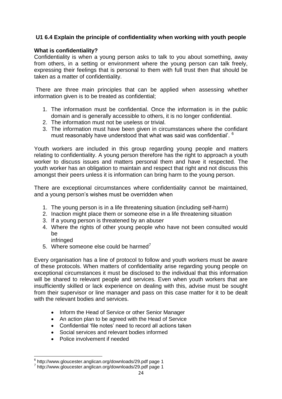# **U1 6.4 Explain the principle of confidentiality when working with youth people**

### **What is confidentiality?**

Confidentiality is when a young person asks to talk to you about something, away from others, in a setting or environment where the young person can talk freely, expressing their feelings that is personal to them with full trust then that should be taken as a matter of confidentiality.

There are three main principles that can be applied when assessing whether information given is to be treated as confidential;

- 1. The information must be confidential. Once the information is in the public domain and is generally accessible to others, it is no longer confidential.
- 2. The information must not be useless or trivial.
- 3. The information must have been given in circumstances where the confidant must reasonably have understood that what was said was confidential'. <sup>6</sup>

Youth workers are included in this group regarding young people and matters relating to confidentiality. A young person therefore has the right to approach a youth worker to discuss issues and matters personal them and have it respected. The youth worker has an obligation to maintain and respect that right and not discuss this amongst their peers unless it is information can bring harm to the young person.

There are exceptional circumstances where confidentiality cannot be maintained, and a young person's wishes must be overridden when

- 1. The young person is in a life threatening situation (including self-harm)
- 2. Inaction might place them or someone else in a life threatening situation
- 3. If a young person is threatened by an abuser
- 4. Where the rights of other young people who have not been consulted would be
	- infringed
- 5. Where someone else could be harmed<sup>7</sup>

Every organisation has a line of protocol to follow and youth workers must be aware of these protocols. When matters of confidentiality arise regarding young people on exceptional circumstances it must be disclosed to the individual that this information will be shared to relevant people and services. Even when youth workers that are insufficiently skilled or lack experience on dealing with this, advise must be sought from their supervisor or line manager and pass on this case matter for it to be dealt with the relevant bodies and services.

- Inform the Head of Service or other Senior Manager
- An action plan to be agreed with the Head of Service
- Confidential 'file notes' need to record all actions taken
- Social services and relevant bodies informed
- Police involvement if needed

 6 http://www.gloucester.anglican.org/downloads/29.pdf page 1

<sup>7</sup> http://www.gloucester.anglican.org/downloads/29.pdf page 1